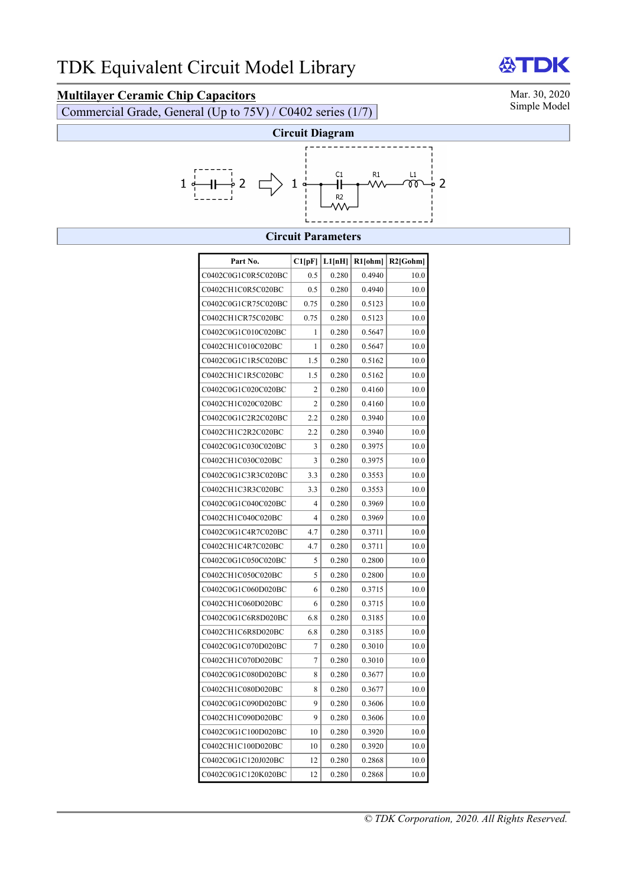# **Multilayer Ceramic Chip Capacitors** Mar. 30, 2020<br>Commercial Grade, General (Un to 75V) / C0402 series (1/7)

Commercial Grade, General (Up to  $75V$ ) / C0402 series (1/7)



**ATDK** 



### **Circuit Parameters**

| Part No.            | C1[pF]         | L1[nH] | $R1$ [ohm] | $R2$ [Gohm] |
|---------------------|----------------|--------|------------|-------------|
| C0402C0G1C0R5C020BC | 0.5            | 0.280  | 0.4940     | 10.0        |
| C0402CH1C0R5C020BC  | 0.5            | 0.280  | 0.4940     | 10.0        |
| C0402C0G1CR75C020BC | 0.75           | 0.280  | 0.5123     | 10.0        |
| C0402CH1CR75C020BC  | 0.75           | 0.280  | 0.5123     | 10.0        |
| C0402C0G1C010C020BC | 1              | 0.280  | 0.5647     | 10.0        |
| C0402CH1C010C020BC  | 1              | 0.280  | 0.5647     | 10.0        |
| C0402C0G1C1R5C020BC | 1.5            | 0.280  | 0.5162     | 10.0        |
| C0402CH1C1R5C020BC  | 1.5            | 0.280  | 0.5162     | 10.0        |
| C0402C0G1C020C020BC | 2              | 0.280  | 0.4160     | 10.0        |
| C0402CH1C020C020BC  | $\overline{c}$ | 0.280  | 0.4160     | 10.0        |
| C0402C0G1C2R2C020BC | 2.2            | 0.280  | 0.3940     | 10.0        |
| C0402CH1C2R2C020BC  | 2.2            | 0.280  | 0.3940     | 10.0        |
| C0402C0G1C030C020BC | 3              | 0.280  | 0.3975     | 10.0        |
| C0402CH1C030C020BC  | 3              | 0.280  | 0.3975     | 10.0        |
| C0402C0G1C3R3C020BC | 3.3            | 0.280  | 0.3553     | 10.0        |
| C0402CH1C3R3C020BC  | 3.3            | 0.280  | 0.3553     | 10.0        |
| C0402C0G1C040C020BC | 4              | 0.280  | 0.3969     | 10.0        |
| C0402CH1C040C020BC  | $\overline{4}$ | 0.280  | 0.3969     | 10.0        |
| C0402C0G1C4R7C020BC | 4.7            | 0.280  | 0.3711     | 10.0        |
| C0402CH1C4R7C020BC  | 4.7            | 0.280  | 0.3711     | 10.0        |
| C0402C0G1C050C020BC | 5              | 0.280  | 0.2800     | 10.0        |
| C0402CH1C050C020BC  | 5              | 0.280  | 0.2800     | 10.0        |
| C0402C0G1C060D020BC | 6              | 0.280  | 0.3715     | 10.0        |
| C0402CH1C060D020BC  | 6              | 0.280  | 0.3715     | 10.0        |
| C0402C0G1C6R8D020BC | 6.8            | 0.280  | 0.3185     | 10.0        |
| C0402CH1C6R8D020BC  | 6.8            | 0.280  | 0.3185     | 10.0        |
| C0402C0G1C070D020BC | 7              | 0.280  | 0.3010     | 10.0        |
| C0402CH1C070D020BC  | $\overline{7}$ | 0.280  | 0.3010     | 10.0        |
| C0402C0G1C080D020BC | 8              | 0.280  | 0.3677     | 10.0        |
| C0402CH1C080D020BC  | 8              | 0.280  | 0.3677     | 10.0        |
| C0402C0G1C090D020BC | 9              | 0.280  | 0.3606     | 10.0        |
| C0402CH1C090D020BC  | 9              | 0.280  | 0.3606     | 10.0        |
| C0402C0G1C100D020BC | 10             | 0.280  | 0.3920     | 10.0        |
| C0402CH1C100D020BC  | 10             | 0.280  | 0.3920     | 10.0        |
| C0402C0G1C120J020BC | 12             | 0.280  | 0.2868     | 10.0        |
| C0402C0G1C120K020BC | 12             | 0.280  | 0.2868     | 10.0        |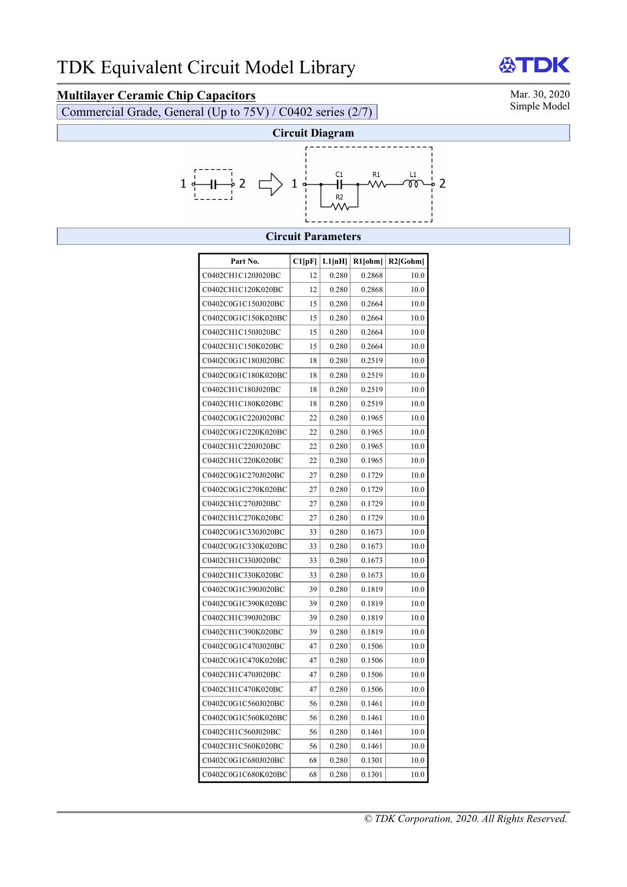# **Multilayer Ceramic Chip Capacitors** Mar. 30, 2020<br>Commercial Grade, General (Un to 75V) / C0402 series (2/7)

Commercial Grade, General (Up to  $75V$ ) / C0402 series (2/7)



## **Circuit Parameters**

| Part No.            | Cl[pF] | L1[nH] | R1[ohm] | $R2$ [Gohm] |
|---------------------|--------|--------|---------|-------------|
| C0402CH1C120J020BC  | 12     | 0.280  | 0.2868  | 10.0        |
| C0402CH1C120K020BC  | 12     | 0.280  | 0.2868  | 10.0        |
| C0402C0G1C150J020BC | 15     | 0.280  | 0.2664  | 10.0        |
| C0402C0G1C150K020BC | 15     | 0.280  | 0.2664  | 10.0        |
| C0402CH1C150J020BC  | 15     | 0.280  | 0.2664  | 10.0        |
| C0402CH1C150K020BC  | 15     | 0.280  | 0.2664  | 10.0        |
| C0402C0G1C180J020BC | 18     | 0.280  | 0.2519  | 10.0        |
| C0402C0G1C180K020BC | 18     | 0.280  | 0.2519  | 10.0        |
| C0402CH1C180J020BC  | 18     | 0.280  | 0.2519  | 10.0        |
| C0402CH1C180K020BC  | 18     | 0.280  | 0.2519  | 10.0        |
| C0402C0G1C220J020BC | 22     | 0.280  | 0.1965  | 10.0        |
| C0402C0G1C220K020BC | 22     | 0.280  | 0.1965  | 10.0        |
| C0402CH1C220J020BC  | 22     | 0.280  | 0.1965  | 10.0        |
| C0402CH1C220K020BC  | 22     | 0.280  | 0.1965  | 10.0        |
| C0402C0G1C270J020BC | 27     | 0.280  | 0.1729  | 10.0        |
| C0402C0G1C270K020BC | 27     | 0.280  | 0.1729  | 10.0        |
| C0402CH1C270J020BC  | 27     | 0.280  | 0.1729  | 10.0        |
| C0402CH1C270K020BC  | 27     | 0.280  | 0.1729  | 10.0        |
| C0402C0G1C330J020BC | 33     | 0.280  | 0.1673  | 10.0        |
| C0402C0G1C330K020BC | 33     | 0.280  | 0.1673  | 10.0        |
| C0402CH1C330J020BC  | 33     | 0.280  | 0.1673  | 10.0        |
| C0402CH1C330K020BC  | 33     | 0.280  | 0.1673  | 10.0        |
| C0402C0G1C390J020BC | 39     | 0.280  | 0.1819  | 10.0        |
| C0402C0G1C390K020BC | 39     | 0.280  | 0.1819  | 10.0        |
| C0402CH1C390J020BC  | 39     | 0.280  | 0.1819  | 10.0        |
| C0402CH1C390K020BC  | 39     | 0.280  | 0.1819  | 10.0        |
| C0402C0G1C470J020BC | 47     | 0.280  | 0.1506  | 10.0        |
| C0402C0G1C470K020BC | 47     | 0.280  | 0.1506  | 10.0        |
| C0402CH1C470J020BC  | 47     | 0.280  | 0.1506  | 10.0        |
| C0402CH1C470K020BC  | 47     | 0.280  | 0.1506  | 10.0        |
| C0402C0G1C560J020BC | 56     | 0.280  | 0.1461  | 10.0        |
| C0402C0G1C560K020BC | 56     | 0.280  | 0.1461  | 10.0        |
| C0402CH1C560J020BC  | 56     | 0.280  | 0.1461  | 10.0        |
| C0402CH1C560K020BC  | 56     | 0.280  | 0.1461  | 10.0        |
| C0402C0G1C680J020BC | 68     | 0.280  | 0.1301  | 10.0        |
| C0402C0G1C680K020BC | 68     | 0.280  | 0.1301  | 10.0        |

**ATDK** 

*© TDK Corporation, 2020. All Rights Reserved.*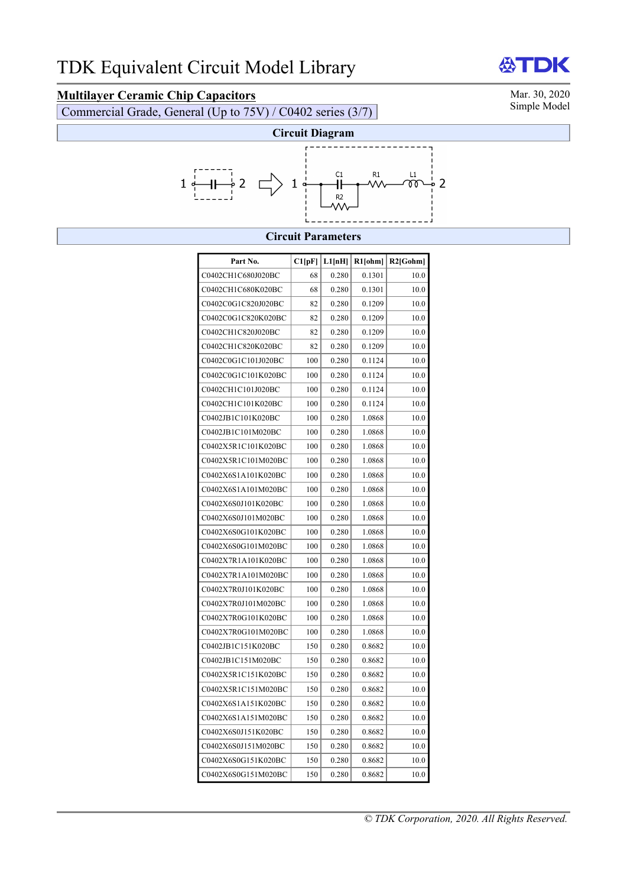# **Multilayer Ceramic Chip Capacitors** Mar. 30, 2020<br>Commercial Grade, General (Un to 75V) / C0402 series (3/7)

Commercial Grade, General (Up to  $75V$ ) / C0402 series (3/7)



### **Circuit Parameters**

| Part No.            | Cl[pF] | L1[nH] | $R1$ [ohm] | $R2$ [Gohm] |
|---------------------|--------|--------|------------|-------------|
| C0402CH1C680J020BC  | 68     | 0.280  | 0.1301     | 10.0        |
| C0402CH1C680K020BC  | 68     | 0.280  | 0.1301     | 10.0        |
| C0402C0G1C820J020BC | 82     | 0.280  | 0.1209     | 10.0        |
| C0402C0G1C820K020BC | 82     | 0.280  | 0.1209     | 10.0        |
| C0402CH1C820J020BC  | 82     | 0.280  | 0.1209     | 10.0        |
| C0402CH1C820K020BC  | 82     | 0.280  | 0.1209     | 10.0        |
| C0402C0G1C101J020BC | 100    | 0.280  | 0.1124     | 10.0        |
| C0402C0G1C101K020BC | 100    | 0.280  | 0.1124     | 10.0        |
| C0402CH1C101J020BC  | 100    | 0.280  | 0.1124     | 10.0        |
| C0402CH1C101K020BC  | 100    | 0.280  | 0.1124     | 10.0        |
| C0402JB1C101K020BC  | 100    | 0.280  | 1.0868     | 10.0        |
| C0402JB1C101M020BC  | 100    | 0.280  | 1.0868     | 10.0        |
| C0402X5R1C101K020BC | 100    | 0.280  | 1.0868     | 10.0        |
| C0402X5R1C101M020BC | 100    | 0.280  | 1.0868     | 10.0        |
| C0402X6S1A101K020BC | 100    | 0.280  | 1.0868     | 10.0        |
| C0402X6S1A101M020BC | 100    | 0.280  | 1.0868     | 10.0        |
| C0402X6S0J101K020BC | 100    | 0.280  | 1.0868     | 10.0        |
| C0402X6S0J101M020BC | 100    | 0.280  | 1.0868     | 10.0        |
| C0402X6S0G101K020BC | 100    | 0.280  | 1.0868     | 10.0        |
| C0402X6S0G101M020BC | 100    | 0.280  | 1.0868     | 10.0        |
| C0402X7R1A101K020BC | 100    | 0.280  | 1.0868     | 10.0        |
| C0402X7R1A101M020BC | 100    | 0.280  | 1.0868     | 10.0        |
| C0402X7R0J101K020BC | 100    | 0.280  | 1.0868     | 10.0        |
| C0402X7R0J101M020BC | 100    | 0.280  | 1.0868     | 10.0        |
| C0402X7R0G101K020BC | 100    | 0.280  | 1.0868     | 10.0        |
| C0402X7R0G101M020BC | 100    | 0.280  | 1.0868     | 10.0        |
| C0402JB1C151K020BC  | 150    | 0.280  | 0.8682     | 10.0        |
| C0402JB1C151M020BC  | 150    | 0.280  | 0.8682     | 10.0        |
| C0402X5R1C151K020BC | 150    | 0.280  | 0.8682     | 10.0        |
| C0402X5R1C151M020BC | 150    | 0.280  | 0.8682     | 10.0        |
| C0402X6S1A151K020BC | 150    | 0.280  | 0.8682     | 10.0        |
| C0402X6S1A151M020BC | 150    | 0.280  | 0.8682     | 10.0        |
| C0402X6S0J151K020BC | 150    | 0.280  | 0.8682     | 10.0        |
| C0402X6S0J151M020BC | 150    | 0.280  | 0.8682     | 10.0        |
| C0402X6S0G151K020BC | 150    | 0.280  | 0.8682     | 10.0        |
| C0402X6S0G151M020BC | 150    | 0.280  | 0.8682     | 10.0        |

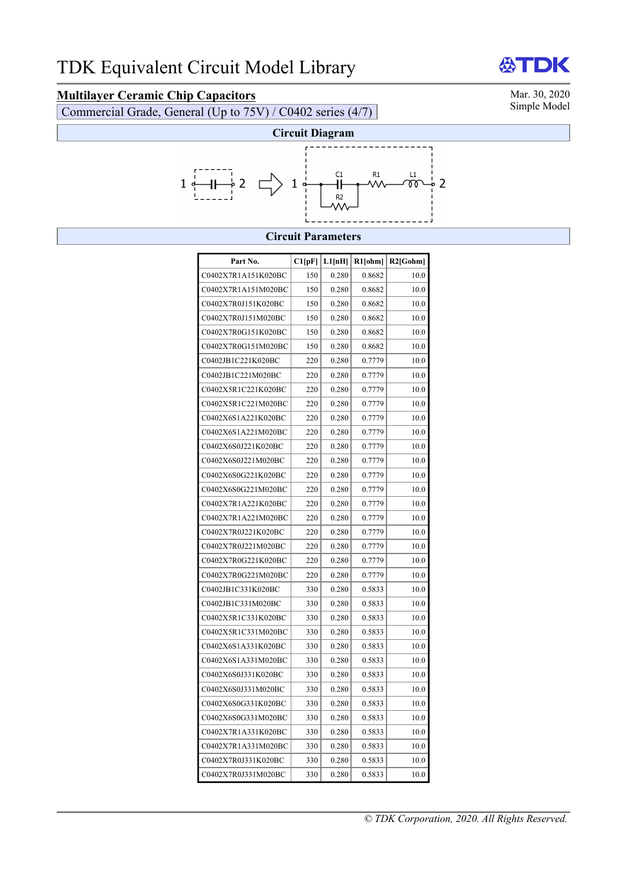# **Multilayer Ceramic Chip Capacitors** Mar. 30, 2020<br>
Commercial Grade, General (Un to 75V) / C0402 series (4/7)

Commercial Grade, General (Up to  $75V$ ) / C0402 series (4/7)



**AST** 



### **Circuit Parameters**

| Part No.            | C1[pF] | L1[nH] | $R1$ [ohm] | $R2$ [Gohm] |
|---------------------|--------|--------|------------|-------------|
| C0402X7R1A151K020BC | 150    | 0.280  | 0.8682     | 10.0        |
| C0402X7R1A151M020BC | 150    | 0.280  | 0.8682     | 10.0        |
| C0402X7R0J151K020BC | 150    | 0.280  | 0.8682     | 10.0        |
| C0402X7R0J151M020BC | 150    | 0.280  | 0.8682     | 10.0        |
| C0402X7R0G151K020BC | 150    | 0.280  | 0.8682     | 10.0        |
| C0402X7R0G151M020BC | 150    | 0.280  | 0.8682     | 10.0        |
| C0402JB1C221K020BC  | 220    | 0.280  | 0.7779     | 10.0        |
| C0402JB1C221M020BC  | 220    | 0.280  | 0.7779     | 10.0        |
| C0402X5R1C221K020BC | 220    | 0.280  | 0.7779     | 10.0        |
| C0402X5R1C221M020BC | 220    | 0.280  | 0.7779     | 10.0        |
| C0402X6S1A221K020BC | 220    | 0.280  | 0.7779     | 10.0        |
| C0402X6S1A221M020BC | 220    | 0.280  | 0.7779     | 10.0        |
| C0402X6S0J221K020BC | 220    | 0.280  | 0.7779     | 10.0        |
| C0402X6S0J221M020BC | 220    | 0.280  | 0.7779     | 10.0        |
| C0402X6S0G221K020BC | 220    | 0.280  | 0.7779     | 10.0        |
| C0402X6S0G221M020BC | 220    | 0.280  | 0.7779     | 10.0        |
| C0402X7R1A221K020BC | 220    | 0.280  | 0.7779     | 10.0        |
| C0402X7R1A221M020BC | 220    | 0.280  | 0.7779     | 10.0        |
| C0402X7R0J221K020BC | 220    | 0.280  | 0.7779     | 10.0        |
| C0402X7R0J221M020BC | 220    | 0.280  | 0.7779     | 10.0        |
| C0402X7R0G221K020BC | 220    | 0.280  | 0.7779     | 10.0        |
| C0402X7R0G221M020BC | 220    | 0.280  | 0.7779     | 10.0        |
| C0402JB1C331K020BC  | 330    | 0.280  | 0.5833     | 10.0        |
| C0402JB1C331M020BC  | 330    | 0.280  | 0.5833     | 10.0        |
| C0402X5R1C331K020BC | 330    | 0.280  | 0.5833     | 10.0        |
| C0402X5R1C331M020BC | 330    | 0.280  | 0.5833     | 10.0        |
| C0402X6S1A331K020BC | 330    | 0.280  | 0.5833     | 10.0        |
| C0402X6S1A331M020BC | 330    | 0.280  | 0.5833     | 10.0        |
| C0402X6S0J331K020BC | 330    | 0.280  | 0.5833     | 10.0        |
| C0402X6S0J331M020BC | 330    | 0.280  | 0.5833     | 10.0        |
| C0402X6S0G331K020BC | 330    | 0.280  | 0.5833     | 10.0        |
| C0402X6S0G331M020BC | 330    | 0.280  | 0.5833     | 10.0        |
| C0402X7R1A331K020BC | 330    | 0.280  | 0.5833     | 10.0        |
| C0402X7R1A331M020BC | 330    | 0.280  | 0.5833     | 10.0        |
| C0402X7R0J331K020BC | 330    | 0.280  | 0.5833     | 10.0        |
| C0402X7R0J331M020BC | 330    | 0.280  | 0.5833     | 10.0        |

DK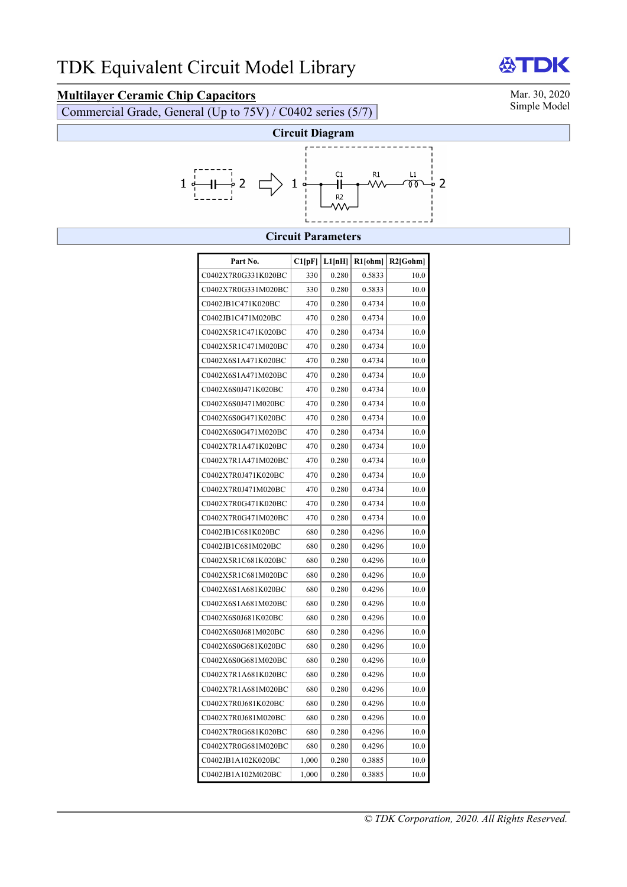# **Multilayer Ceramic Chip Capacitors** Mar. 30, 2020<br>Commercial Grade, General (Un to 75V) / C0402 series (5/7) Simple Model

Commercial Grade, General (Up to  $75V$ ) / C0402 series (5/7)



### **Circuit Parameters**

| Part No.            | Cl[pF] | L1[nH] | $R1$ [ohm] | $R2$ [Gohm] |
|---------------------|--------|--------|------------|-------------|
| C0402X7R0G331K020BC | 330    | 0.280  | 0.5833     | 10.0        |
| C0402X7R0G331M020BC | 330    | 0.280  | 0.5833     | 10.0        |
| C0402JB1C471K020BC  | 470    | 0.280  | 0.4734     | 10.0        |
| C0402JB1C471M020BC  | 470    | 0.280  | 0.4734     | 10.0        |
| C0402X5R1C471K020BC | 470    | 0.280  | 0.4734     | 10.0        |
| C0402X5R1C471M020BC | 470    | 0.280  | 0.4734     | 10.0        |
| C0402X6S1A471K020BC | 470    | 0.280  | 0.4734     | 10.0        |
| C0402X6S1A471M020BC | 470    | 0.280  | 0.4734     | 10.0        |
| C0402X6S0J471K020BC | 470    | 0.280  | 0.4734     | 10.0        |
| C0402X6S0J471M020BC | 470    | 0.280  | 0.4734     | 10.0        |
| C0402X6S0G471K020BC | 470    | 0.280  | 0.4734     | 10.0        |
| C0402X6S0G471M020BC | 470    | 0.280  | 0.4734     | 10.0        |
| C0402X7R1A471K020BC | 470    | 0.280  | 0.4734     | 10.0        |
| C0402X7R1A471M020BC | 470    | 0.280  | 0.4734     | 10.0        |
| C0402X7R0J471K020BC | 470    | 0.280  | 0.4734     | 10.0        |
| C0402X7R0J471M020BC | 470    | 0.280  | 0.4734     | 10.0        |
| C0402X7R0G471K020BC | 470    | 0.280  | 0.4734     | 10.0        |
| C0402X7R0G471M020BC | 470    | 0.280  | 0.4734     | 10.0        |
| C0402JB1C681K020BC  | 680    | 0.280  | 0.4296     | 10.0        |
| C0402JB1C681M020BC  | 680    | 0.280  | 0.4296     | 10.0        |
| C0402X5R1C681K020BC | 680    | 0.280  | 0.4296     | 10.0        |
| C0402X5R1C681M020BC | 680    | 0.280  | 0.4296     | 10.0        |
| C0402X6S1A681K020BC | 680    | 0.280  | 0.4296     | 10.0        |
| C0402X6S1A681M020BC | 680    | 0.280  | 0.4296     | 10.0        |
| C0402X6S0J681K020BC | 680    | 0.280  | 0.4296     | 10.0        |
| C0402X6S0J681M020BC | 680    | 0.280  | 0.4296     | 10.0        |
| C0402X6S0G681K020BC | 680    | 0.280  | 0.4296     | 10.0        |
| C0402X6S0G681M020BC | 680    | 0.280  | 0.4296     | 10.0        |
| C0402X7R1A681K020BC | 680    | 0.280  | 0.4296     | 10.0        |
| C0402X7R1A681M020BC | 680    | 0.280  | 0.4296     | 10.0        |
| C0402X7R0J681K020BC | 680    | 0.280  | 0.4296     | 10.0        |
| C0402X7R0J681M020BC | 680    | 0.280  | 0.4296     | 10.0        |
| C0402X7R0G681K020BC | 680    | 0.280  | 0.4296     | 10.0        |
| C0402X7R0G681M020BC | 680    | 0.280  | 0.4296     | 10.0        |
| C0402JB1A102K020BC  | 1,000  | 0.280  | 0.3885     | 10.0        |
| C0402JB1A102M020BC  | 1,000  | 0.280  | 0.3885     | 10.0        |

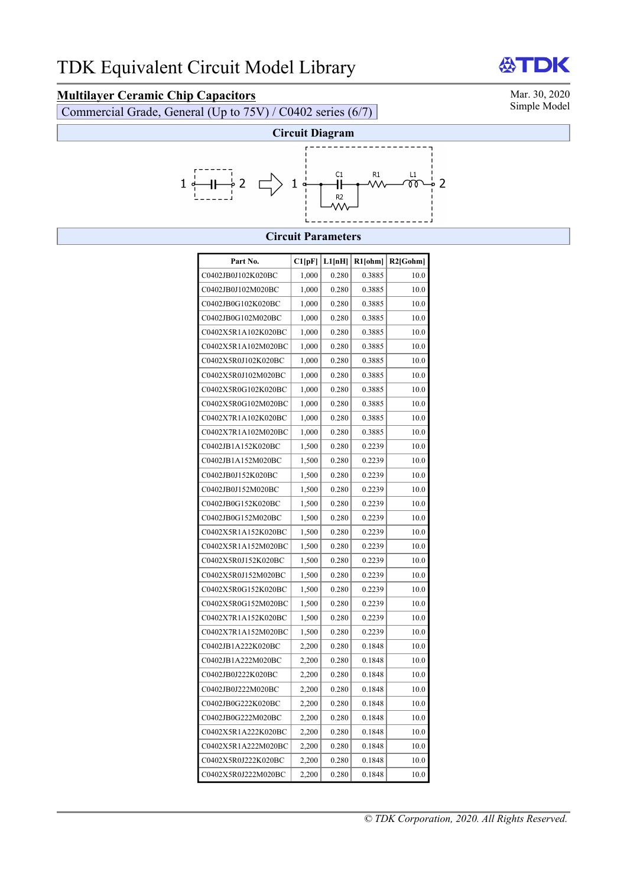# **Multilayer Ceramic Chip Capacitors** Mar. 30, 2020<br>
Commercial Grade, General (Un to 75V) / C0402 series (6/7)

Commercial Grade, General (Up to 75V) / C0402 series (6/7)



**ANT** 

DK



## **Circuit Parameters**

| Part No.            | Cl[pF] | L1[nH] | R1[ohm] | $R2$ [Gohm] |
|---------------------|--------|--------|---------|-------------|
| C0402JB0J102K020BC  | 1,000  | 0.280  | 0.3885  | 10.0        |
| C0402JB0J102M020BC  | 1,000  | 0.280  | 0.3885  | 10.0        |
| C0402JB0G102K020BC  | 1,000  | 0.280  | 0.3885  | 10.0        |
| C0402JB0G102M020BC  | 1,000  | 0.280  | 0.3885  | 10.0        |
| C0402X5R1A102K020BC | 1,000  | 0.280  | 0.3885  | 10.0        |
| C0402X5R1A102M020BC | 1,000  | 0.280  | 0.3885  | 10.0        |
| C0402X5R0J102K020BC | 1,000  | 0.280  | 0.3885  | 10.0        |
| C0402X5R0J102M020BC | 1,000  | 0.280  | 0.3885  | 10.0        |
| C0402X5R0G102K020BC | 1,000  | 0.280  | 0.3885  | 10.0        |
| C0402X5R0G102M020BC | 1,000  | 0.280  | 0.3885  | 10.0        |
| C0402X7R1A102K020BC | 1,000  | 0.280  | 0.3885  | 10.0        |
| C0402X7R1A102M020BC | 1,000  | 0.280  | 0.3885  | 10.0        |
| C0402JB1A152K020BC  | 1,500  | 0.280  | 0.2239  | 10.0        |
| C0402JB1A152M020BC  | 1,500  | 0.280  | 0.2239  | 10.0        |
| C0402JB0J152K020BC  | 1,500  | 0.280  | 0.2239  | 10.0        |
| C0402JB0J152M020BC  | 1,500  | 0.280  | 0.2239  | 10.0        |
| C0402JB0G152K020BC  | 1,500  | 0.280  | 0.2239  | 10.0        |
| C0402JB0G152M020BC  | 1,500  | 0.280  | 0.2239  | 10.0        |
| C0402X5R1A152K020BC | 1,500  | 0.280  | 0.2239  | 10.0        |
| C0402X5R1A152M020BC | 1,500  | 0.280  | 0.2239  | 10.0        |
| C0402X5R0J152K020BC | 1,500  | 0.280  | 0.2239  | 10.0        |
| C0402X5R0J152M020BC | 1,500  | 0.280  | 0.2239  | 10.0        |
| C0402X5R0G152K020BC | 1,500  | 0.280  | 0.2239  | 10.0        |
| C0402X5R0G152M020BC | 1,500  | 0.280  | 0.2239  | 10.0        |
| C0402X7R1A152K020BC | 1,500  | 0.280  | 0.2239  | 10.0        |
| C0402X7R1A152M020BC | 1,500  | 0.280  | 0.2239  | 10.0        |
| C0402JB1A222K020BC  | 2,200  | 0.280  | 0.1848  | 10.0        |
| C0402JB1A222M020BC  | 2,200  | 0.280  | 0.1848  | 10.0        |
| C0402JB0J222K020BC  | 2,200  | 0.280  | 0.1848  | 10.0        |
| C0402JB0J222M020BC  | 2,200  | 0.280  | 0.1848  | 10.0        |
| C0402JB0G222K020BC  | 2,200  | 0.280  | 0.1848  | 10.0        |
| C0402JB0G222M020BC  | 2,200  | 0.280  | 0.1848  | 10.0        |
| C0402X5R1A222K020BC | 2,200  | 0.280  | 0.1848  | 10.0        |
| C0402X5R1A222M020BC | 2,200  | 0.280  | 0.1848  | 10.0        |
| C0402X5R0J222K020BC | 2,200  | 0.280  | 0.1848  | 10.0        |
| C0402X5R0J222M020BC | 2,200  | 0.280  | 0.1848  | 10.0        |

## *© TDK Corporation, 2020. All Rights Reserved.*